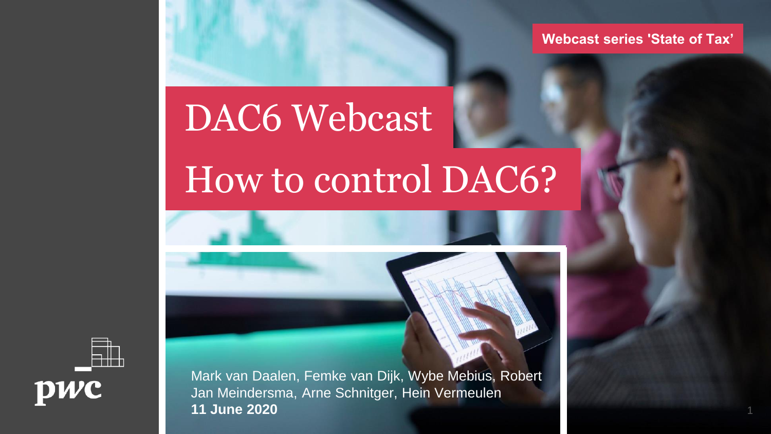**Webcast series 'State of Tax'**

# DAC6 Webcast

# How to control DAC6?





Mark van Daalen, Femke van Dijk, Wybe Mebius, Robert Jan Meindersma, Arne Schnitger, Hein Vermeulen **11 June 2020**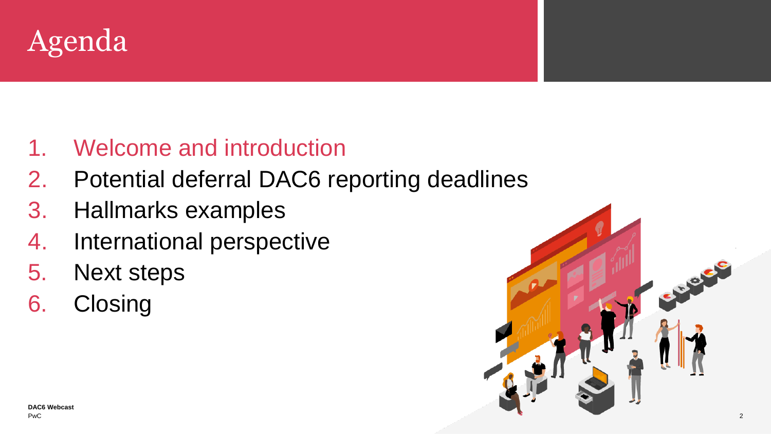

### 1. Welcome and introduction

- 2. Potential deferral DAC6 reporting deadlines
- 3. Hallmarks examples
- 4. International perspective
- 5. Next steps
- 6. Closing

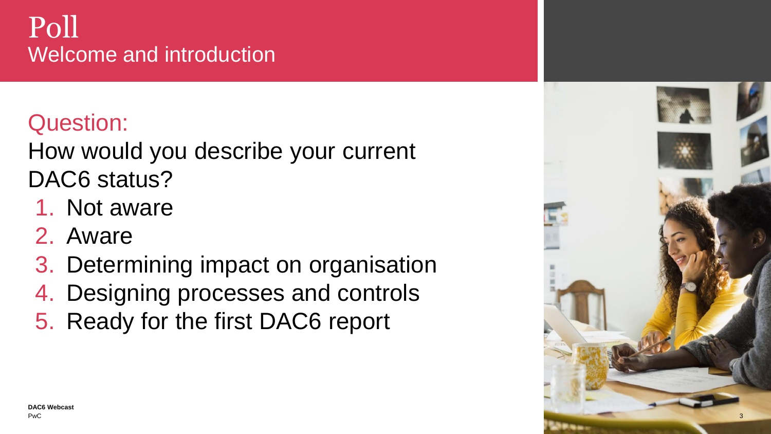### Poll Welcome and introduction

### Question:

How would you describe your current DAC6 status?

- 1. Not aware
- 2. Aware
- 3. Determining impact on organisation
- 4. Designing processes and controls
- 5. Ready for the first DAC6 report

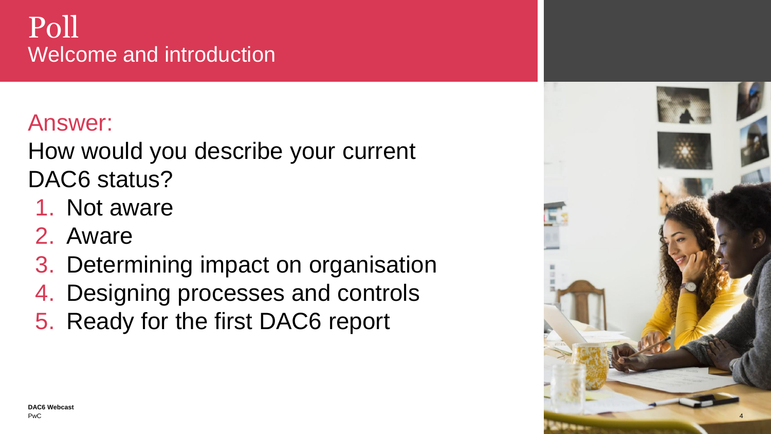### Poll Welcome and introduction

### Answer:

How would you describe your current DAC6 status?

- 1. Not aware
- 2. Aware
- 3. Determining impact on organisation
- 4. Designing processes and controls
- 5. Ready for the first DAC6 report

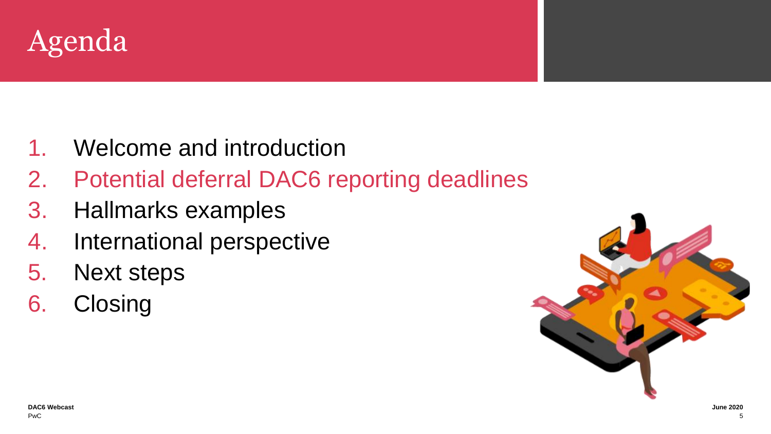

- 1. Welcome and introduction
- 2. Potential deferral DAC6 reporting deadlines
- 3. Hallmarks examples
- 4. International perspective
- 5. Next steps
- 6. Closing

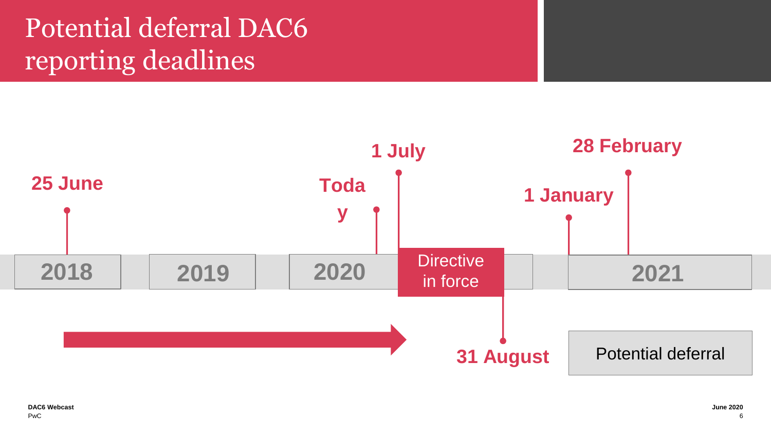# Potential deferral DAC6 reporting deadlines

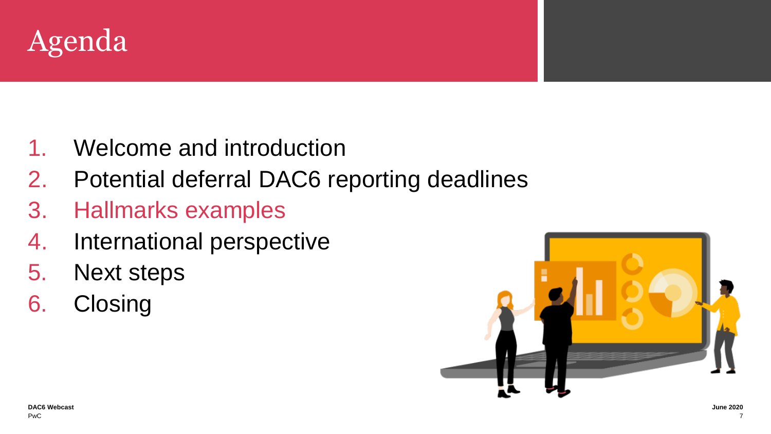

- 1. Welcome and introduction
- 2. Potential deferral DAC6 reporting deadlines
- 3. Hallmarks examples
- 4. International perspective
- 5. Next steps
- 6. Closing

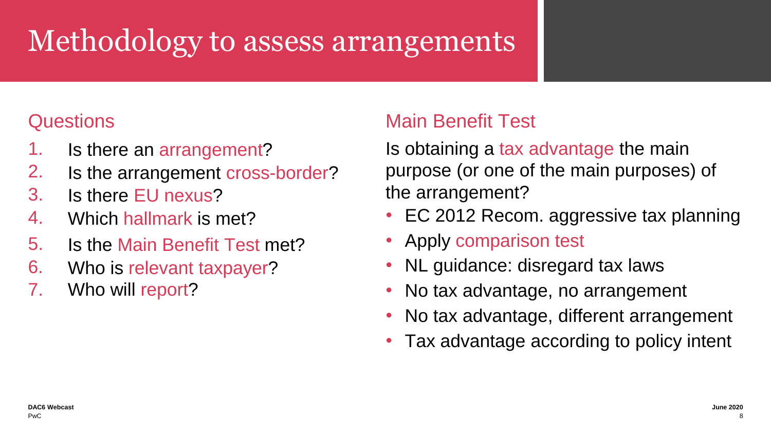# **Methodology to assess arrangements**

#### **Questions**

- 1. Is there an arrangement?
- 2. Is the arrangement cross-border?
- 3. Is there EU nexus?
- 4. Which hallmark is met?
- 5. Is the Main Benefit Test met?
- 6. Who is relevant taxpayer?
- 7. Who will report?

#### Main Benefit Test

Is obtaining a tax advantage the main purpose (or one of the main purposes) of the arrangement?

- EC 2012 Recom. aggressive tax planning
- Apply comparison test
- NL guidance: disregard tax laws
- No tax advantage, no arrangement
- No tax advantage, different arrangement
- Tax advantage according to policy intent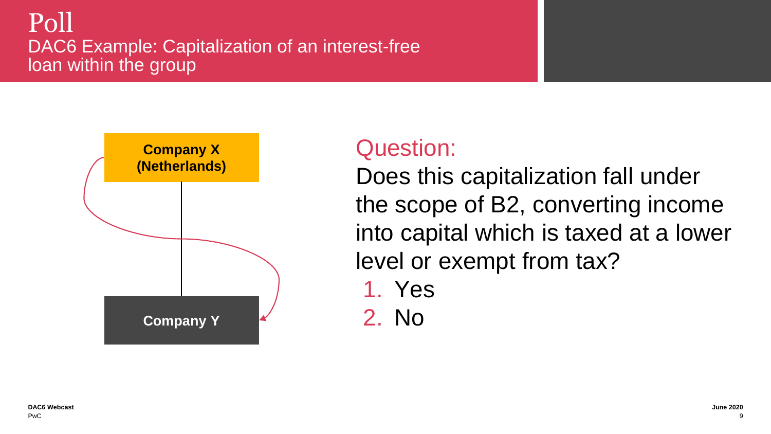#### Poll DAC6 Example: Capitalization of an interest-free loan within the group



### Question:

Does this capitalization fall under the scope of B2, converting income into capital which is taxed at a lower level or exempt from tax?

- 1. Yes
- 2. No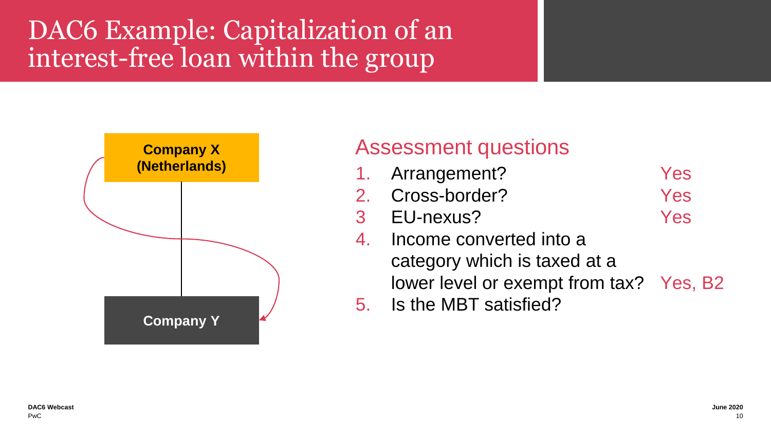# DAC6 Example: Capitalization of an interest-free loan within the group



#### Assessment questions

- 1. Arrangement? Yes
- 2. Cross-border? Yes
- 3 EU-nexus? Yes
- 4. Income converted into a category which is taxed at a lower level or exempt from tax? Yes, B2
- 5. Is the MBT satisfied?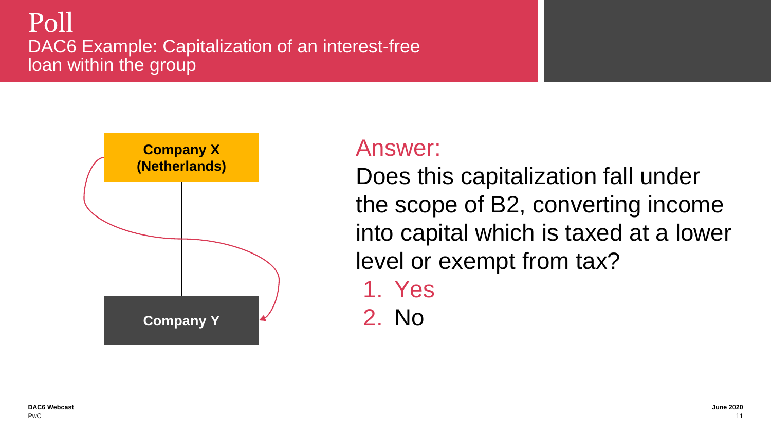#### Poll DAC6 Example: Capitalization of an interest-free loan within the group



### Answer:

Does this capitalization fall under the scope of B2, converting income into capital which is taxed at a lower level or exempt from tax?

- 1. Yes
- 2. No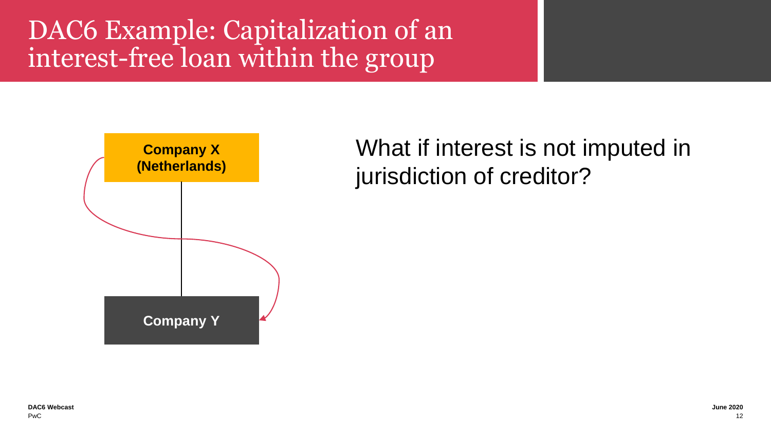## DAC6 Example: Capitalization of an interest-free loan within the group



What if interest is not imputed in jurisdiction of creditor?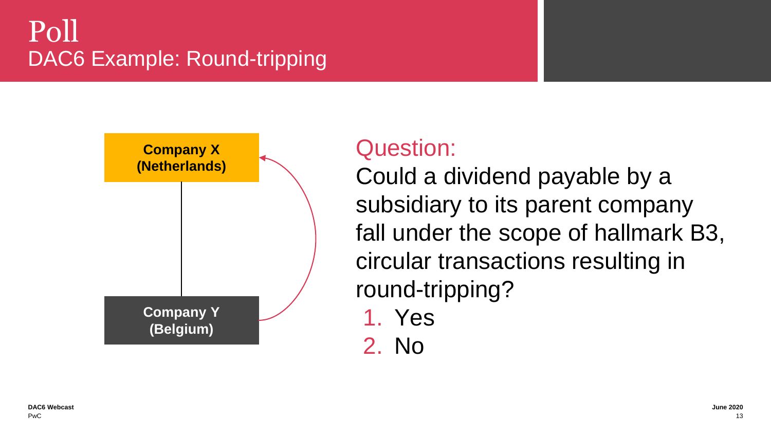## Poll DAC6 Example: Round-tripping



### Question:

Could a dividend payable by a subsidiary to its parent company fall under the scope of hallmark B3, circular transactions resulting in round-tripping?

- 1. Yes
- 2. No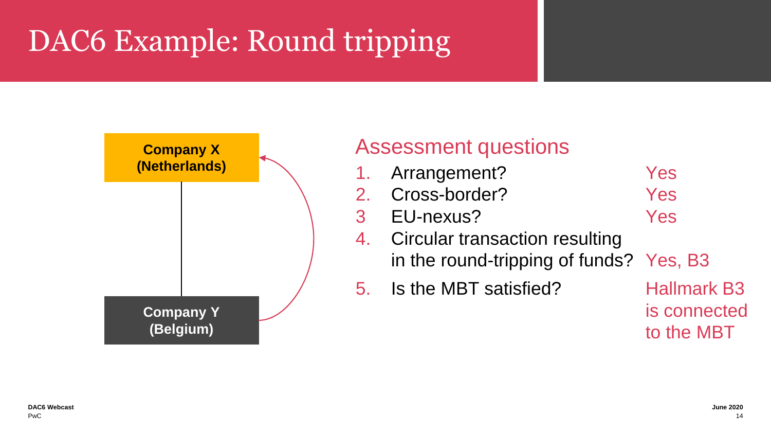# **DAC6 Example: Round tripping**



#### Assessment questions

- 1. Arrangement? Yes
- 2. Cross-border? Yes
- 3 EU-nexus? Yes
- 4. Circular transaction resulting in the round-tripping of funds? Yes, B3
- 5. Is the MBT satisfied? Hallmark B3

is connected to the MBT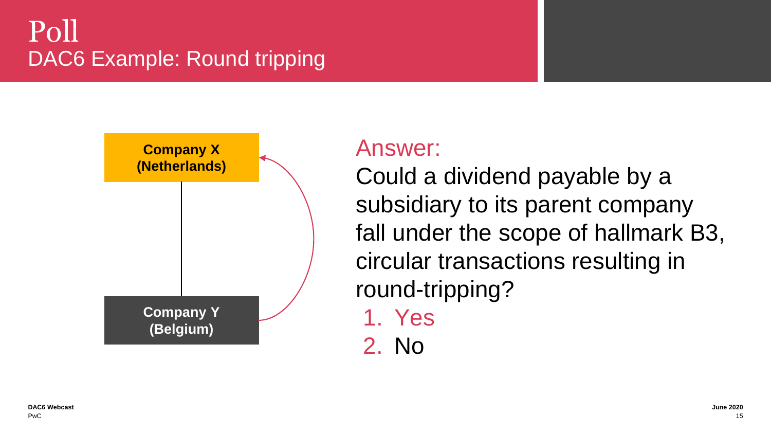## Poll DAC6 Example: Round tripping



#### Answer:

Could a dividend payable by a subsidiary to its parent company fall under the scope of hallmark B3, circular transactions resulting in round-tripping?

1. Yes

2. No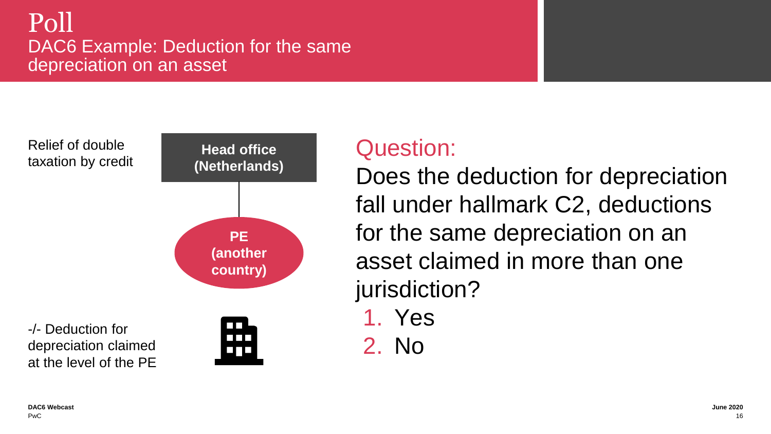#### Poll DAC6 Example: Deduction for the same depreciation on an asset

Relief of double taxation by credit



### Question:

Does the deduction for depreciation fall under hallmark C2, deductions for the same depreciation on an asset claimed in more than one jurisdiction?

1. Yes

2. No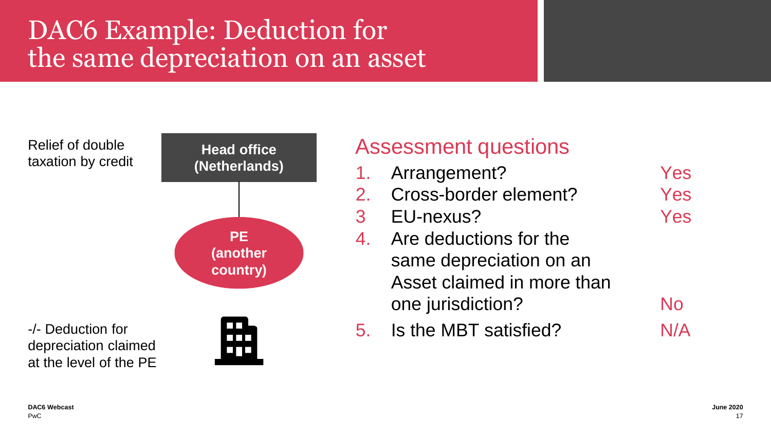# DAC6 Example: Deduction for the same depreciation on an asset

Relief of double **Head office** taxation by credit **(Netherlands) PE (another country)**-/- Deduction for n n n depreciation claimed  $\Box$   $\Box$   $\Box$ at the level of the PE

#### Assessment questions

1. Arrangement? Yes 2. Cross-border element? Yes 3 EU-nexus? Yes 4. Are deductions for the same depreciation on an Asset claimed in more than one jurisdiction? No 5. Is the MBT satisfied? N/A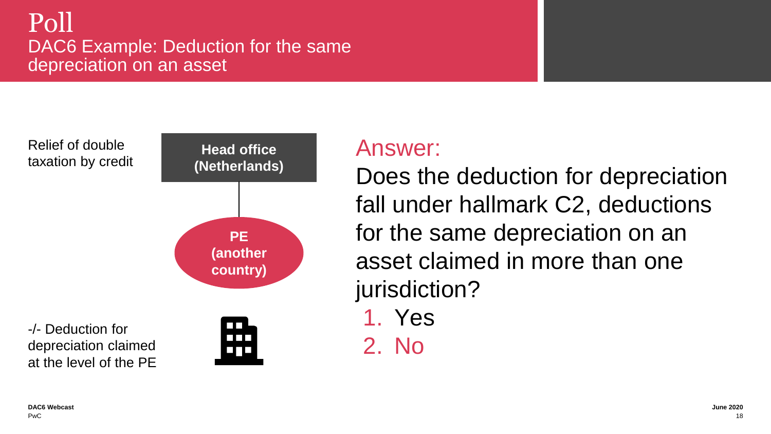#### Poll DAC6 Example: Deduction for the same depreciation on an asset

Relief of double taxation by credit



#### Answer:

Does the deduction for depreciation fall under hallmark C2, deductions for the same depreciation on an asset claimed in more than one jurisdiction?

1. Yes

2. No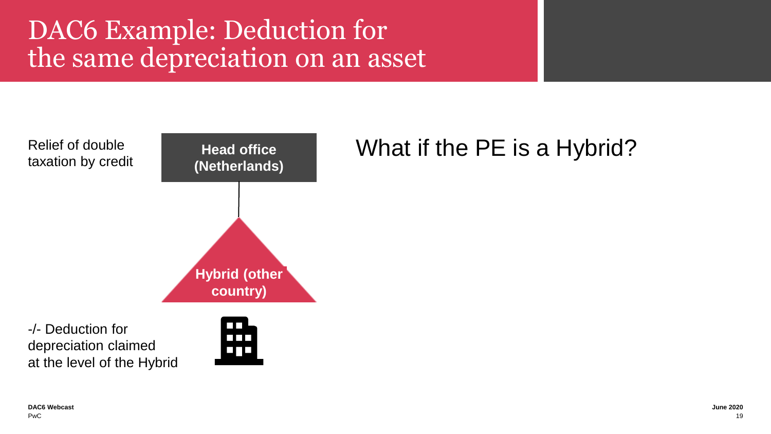# DAC6 Example: Deduction for the same depreciation on an asset



-/- Deduction for depreciation claimed at the level of the Hybrid

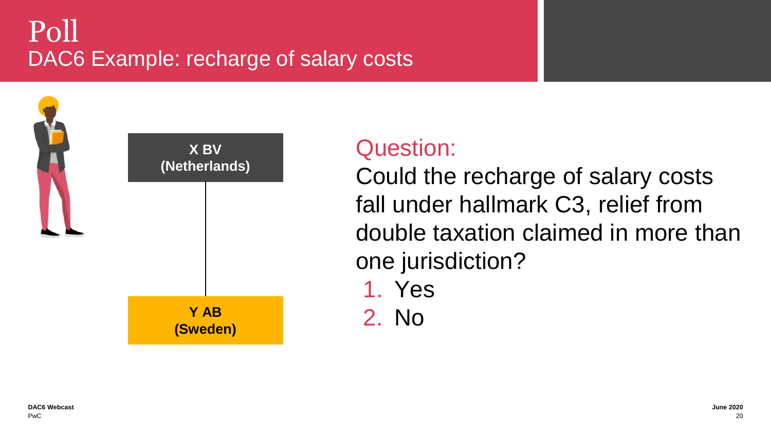# Poll DAC6 Example: recharge of salary costs



### Question:

Could the recharge of salary costs fall under hallmark C3, relief from double taxation claimed in more than one jurisdiction?

- 1. Yes
- 2. No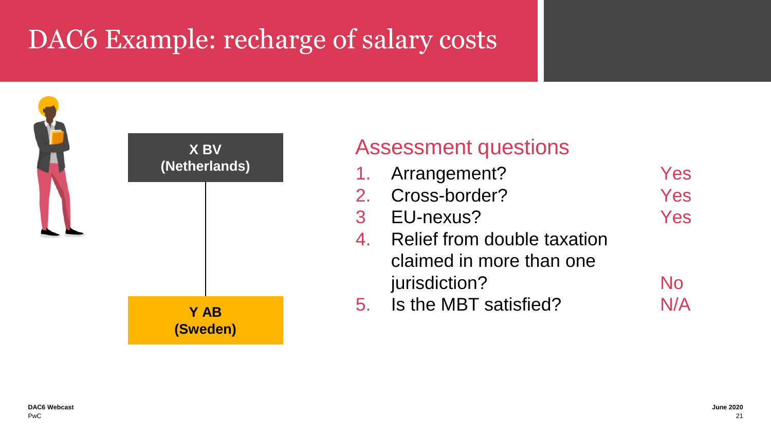# DAC6 Example: recharge of salary costs



#### Assessment questions

1. Arrangement? Yes 2. Cross-border? Yes 3 EU-nexus? Yes 4. Relief from double taxation claimed in more than one jurisdiction? No 5. Is the MBT satisfied? N/A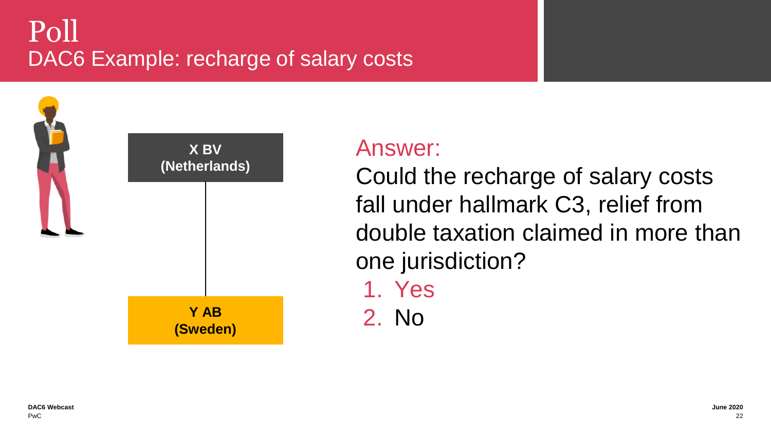# Poll DAC6 Example: recharge of salary costs



### Answer:

Could the recharge of salary costs fall under hallmark C3, relief from double taxation claimed in more than one jurisdiction?

1. Yes 2. No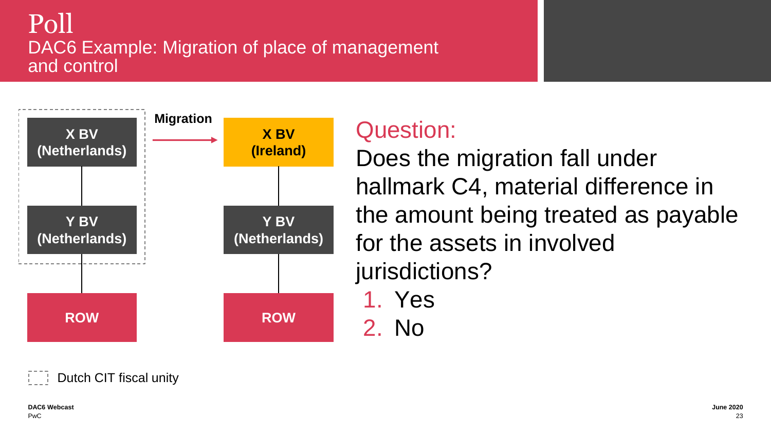#### Poll DAC6 Example: Migration of place of management and control



### Question:

Does the migration fall under hallmark C4, material difference in the amount being treated as payable for the assets in involved jurisdictions?

- 1. Yes
- 2. No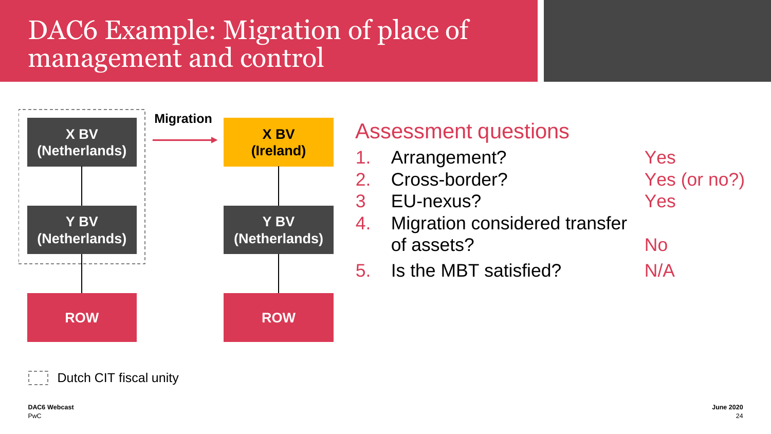# DAC6 Example: Migration of place of management and control



#### Assessment questions

- 1. Arrangement? Yes
- 2. Cross-border? Yes (or no?)
- 3 EU-nexus? Yes
- 
- 4. Migration considered transfer of assets? No
- 5. Is the MBT satisfied? N/A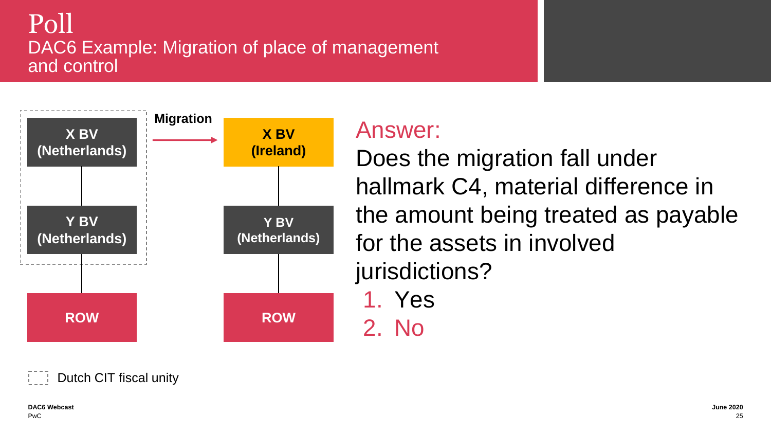#### Poll DAC6 Example: Migration of place of management and control



### Answer:

Does the migration fall under hallmark C4, material difference in the amount being treated as payable for the assets in involved jurisdictions?

1. Yes 2. No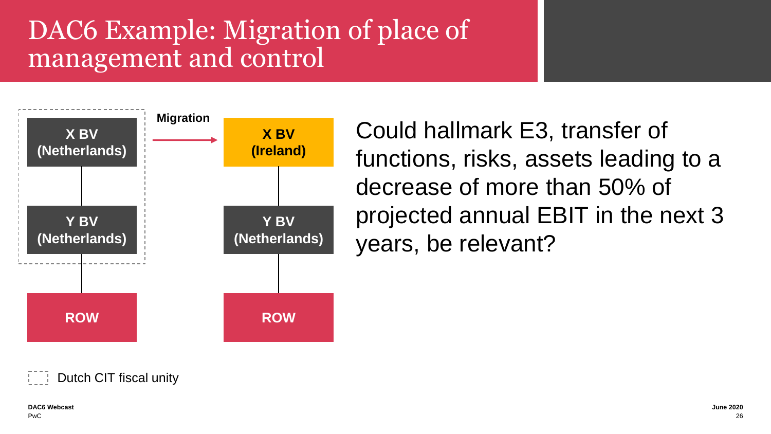# DAC6 Example: Migration of place of management and control



Could hallmark E3, transfer of functions, risks, assets leading to a decrease of more than 50% of projected annual EBIT in the next 3 years, be relevant?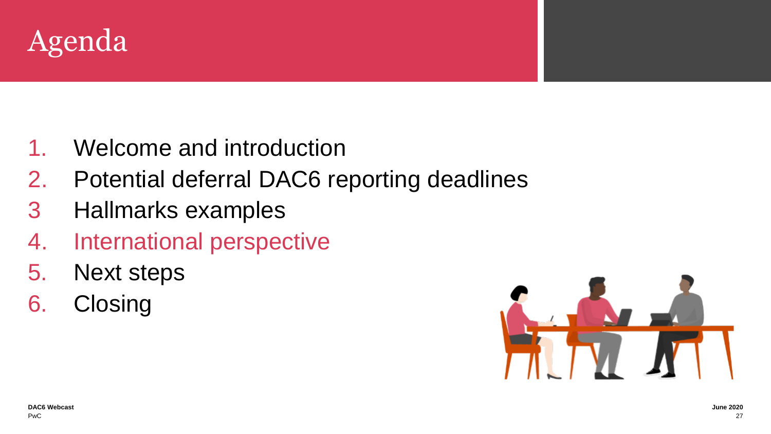

- 1. Welcome and introduction
- 2. Potential deferral DAC6 reporting deadlines
- 3 Hallmarks examples
- 4. International perspective
- 5. Next steps
- 6. Closing

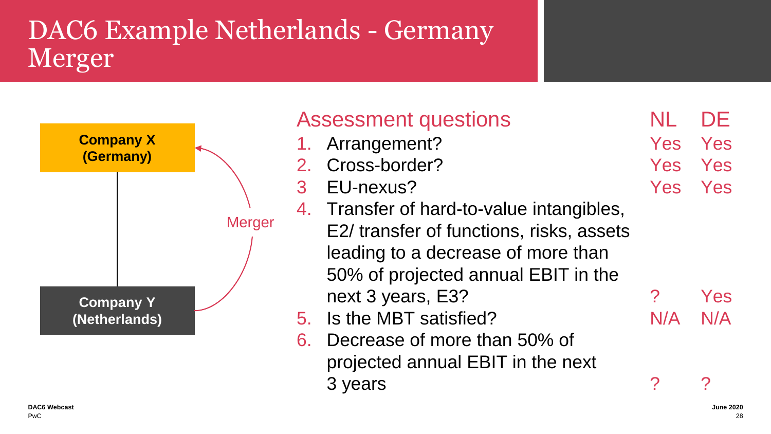# DAC6 Example Netherlands - Germany Merger



| <b>Company X</b><br>(Germany)     | <b>Assessment questions</b><br>1. Arrangement?<br>2. Cross-border?                                                                                                                                    | Yes<br><b>Yes</b> | DE<br>Yes<br>Yes                        |
|-----------------------------------|-------------------------------------------------------------------------------------------------------------------------------------------------------------------------------------------------------|-------------------|-----------------------------------------|
|                                   | EU-nexus?<br>3<br>4. Transfer of hard-to-value intangibles,<br><b>Merger</b><br>E2/ transfer of functions, risks, assets<br>leading to a decrease of more than<br>50% of projected annual EBIT in the | Yes               | Yes                                     |
| <b>Company Y</b><br>(Netherlands) | next 3 years, E3?<br>5. Is the MBT satisfied?<br>Decrease of more than 50% of<br>6.<br>projected annual EBIT in the next<br>3 years                                                                   | ?<br>N/A          | Yes<br>N/A<br>$\boldsymbol{\mathsf{a}}$ |
| DAC6 Webcast                      |                                                                                                                                                                                                       |                   | <b>June 2020</b>                        |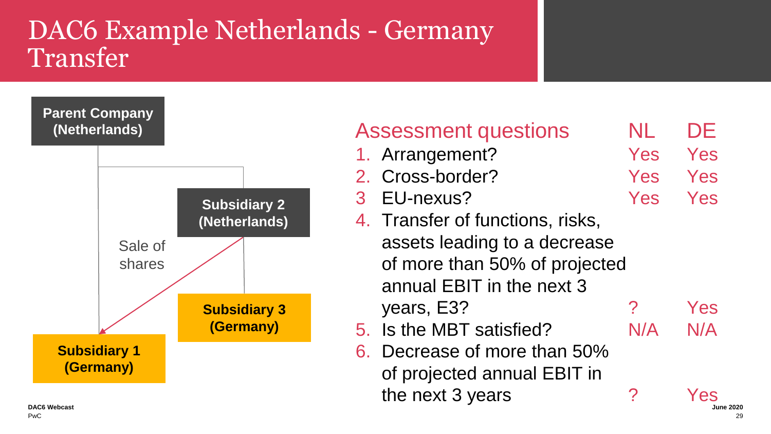### DAC6 Example Netherlands - Germany **Transfer**



| <b>Largin Company</b><br>(Netherlands) |                     | <b>Assessment questions</b>      | NL         | DE                      |
|----------------------------------------|---------------------|----------------------------------|------------|-------------------------|
|                                        |                     | 1. Arrangement?                  | <b>Yes</b> | Yes                     |
|                                        |                     | 2. Cross-border?                 | <b>Yes</b> | Yes                     |
|                                        | <b>Subsidiary 2</b> | 3 EU-nexus?                      | Yes        | Yes                     |
|                                        | (Netherlands)       | 4. Transfer of functions, risks, |            |                         |
| Sale of                                |                     | assets leading to a decrease     |            |                         |
| shares                                 |                     | of more than 50% of projected    |            |                         |
|                                        |                     | annual EBIT in the next 3        |            |                         |
|                                        | <b>Subsidiary 3</b> | years, E3?                       | ?          | Yes                     |
|                                        | (Germany)           | 5. Is the MBT satisfied?         | N/A        | N/A                     |
| <b>Subsidiary 1</b>                    |                     | 6. Decrease of more than 50%     |            |                         |
| (Germany)                              |                     | of projected annual EBIT in      |            |                         |
| <b>DAC6 Webcast</b><br>Du C            |                     | the next 3 years                 | ?          | Yes<br><b>June 2020</b> |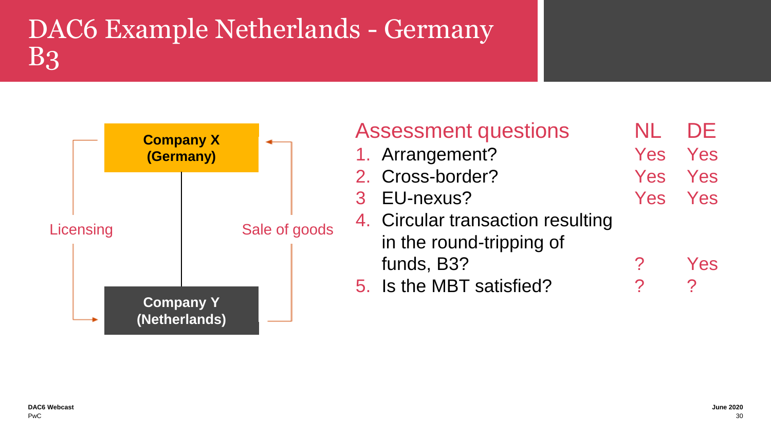# DAC6 Example Netherlands - Germany B3



| <b>Assessment questions</b>       | NL      | DE  |
|-----------------------------------|---------|-----|
| 1. Arrangement?                   | Yes Yes |     |
| 2. Cross-border?                  | Yes Yes |     |
| 3 EU-nexus?                       | Yes Yes |     |
| 4. Circular transaction resulting |         |     |
| in the round-tripping of          |         |     |
| funds, B3?                        |         | Yes |
| 5. Is the MBT satisfied?          |         |     |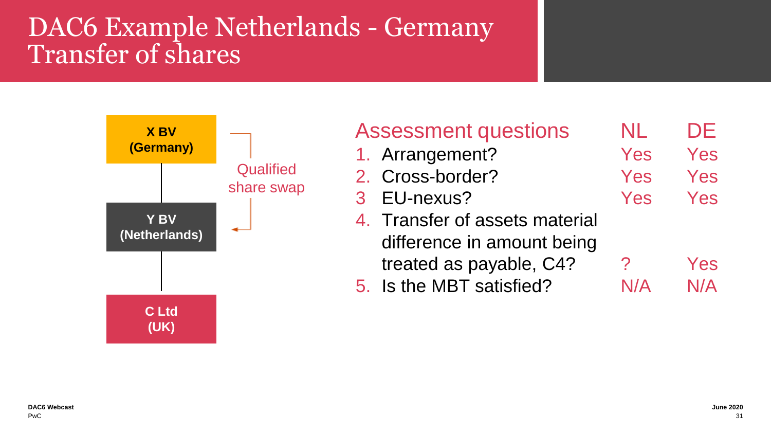## DAC6 Example Netherlands - Germany Transfer of shares



| <b>Assessment questions</b>    | NL. | DE  |
|--------------------------------|-----|-----|
| 1. Arrangement?                | Yes | Yes |
| 2. Cross-border?               | Yes | Yes |
| 3 EU-nexus?                    | Yes | Yes |
| 4. Transfer of assets material |     |     |
| difference in amount being     |     |     |
| treated as payable, C4?        | ?   | Yes |
| 5. Is the MBT satisfied?       |     | N/A |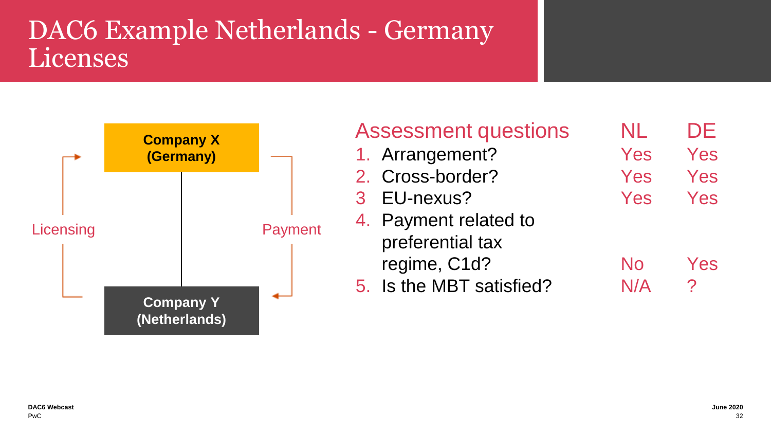### DAC6 Example Netherlands - Germany Licenses



| <b>Assessment questions</b> | NL  | DE  |
|-----------------------------|-----|-----|
| 1. Arrangement?             | Yes | Yes |
| 2. Cross-border?            | Yes | Yes |
| 3 EU-nexus?                 | Yes | Yes |
| 4. Payment related to       |     |     |
| preferential tax            |     |     |
| regime, C1d?                | No  | Yes |
| 5. Is the MBT satisfied?    | N/A | 2   |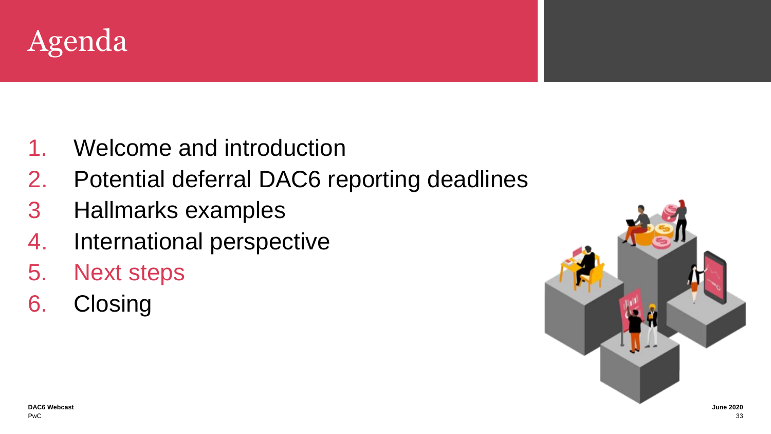

- 1. Welcome and introduction
- 2. Potential deferral DAC6 reporting deadlines
- 3 Hallmarks examples
- 4. International perspective
- 5. Next steps
- 6. Closing

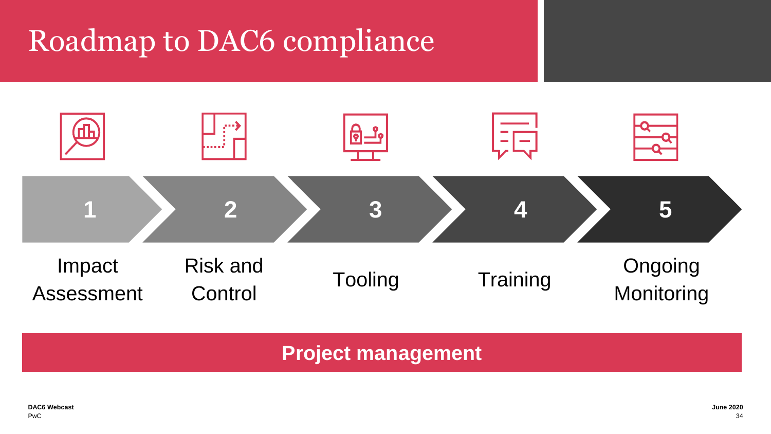# **Roadmap to DAC6 compliance**



**Project management**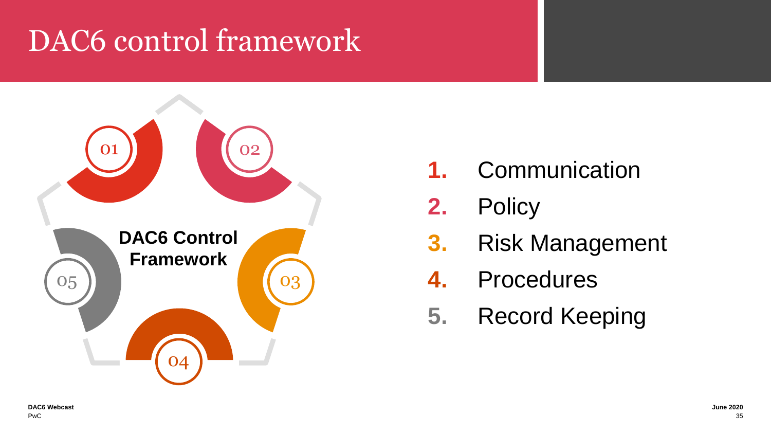# DAC6 control framework



**1.** Communication

**2.** Policy

- **3.** Risk Management
- **4.** Procedures
- **5.** Record Keeping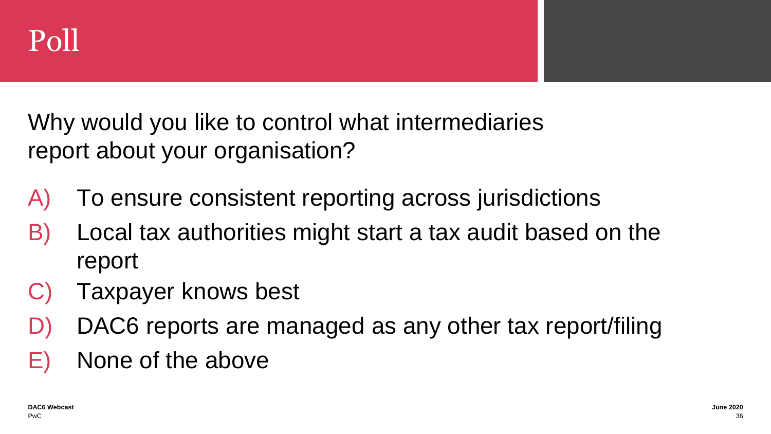

Why would you like to control what intermediaries report about your organisation?

- A) To ensure consistent reporting across jurisdictions
- B) Local tax authorities might start a tax audit based on the report
- C) Taxpayer knows best
- D) DAC6 reports are managed as any other tax report/filing
- E) None of the above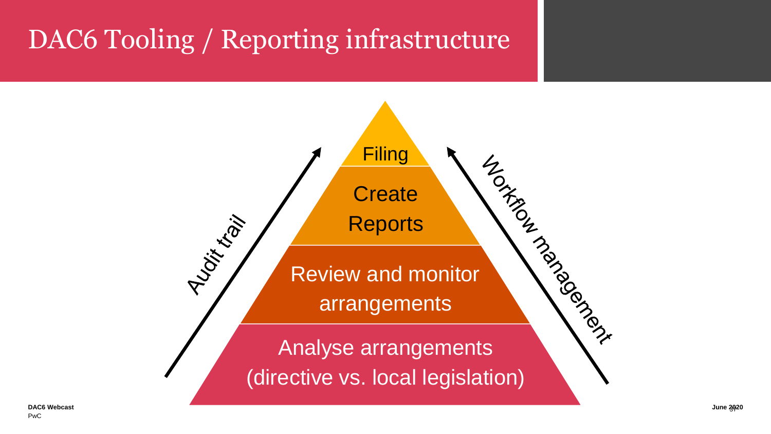# **DAC6 Tooling / Reporting infrastructure**

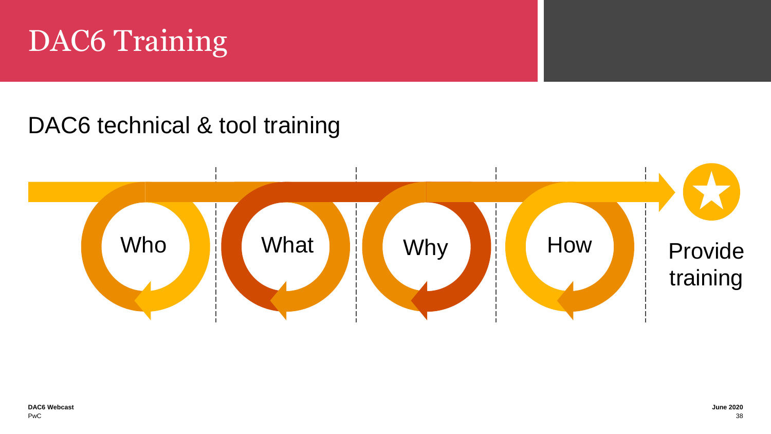

### DAC6 technical & tool training

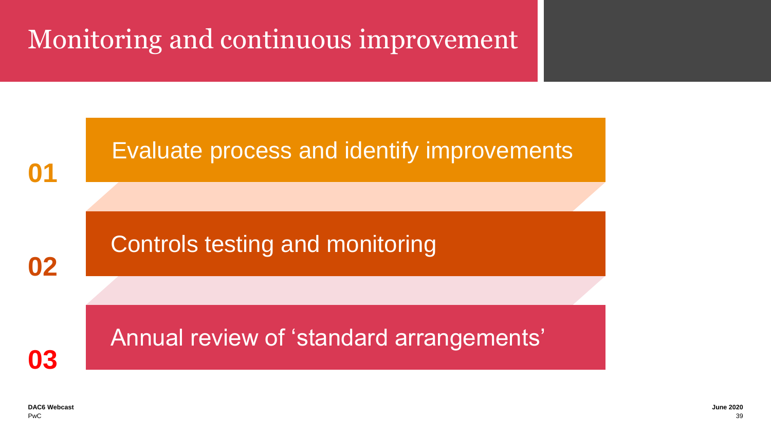# Monitoring and continuous improvement

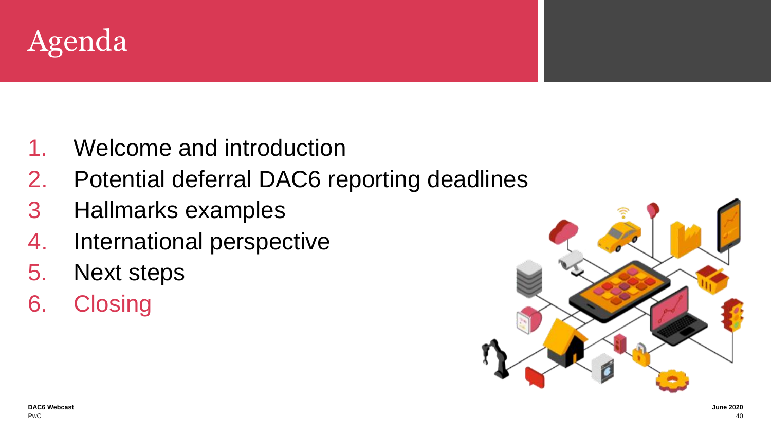

- 1. Welcome and introduction
- 2. Potential deferral DAC6 reporting deadlines
- 3 Hallmarks examples
- 4. International perspective
- 5. Next steps
- 6. Closing

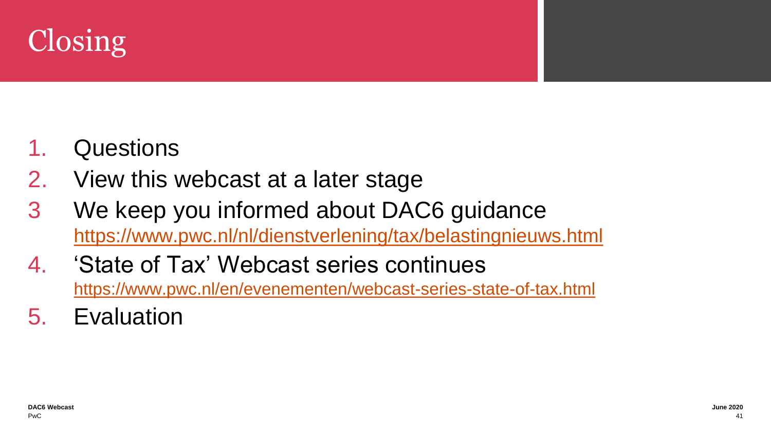

### **Questions**

- 2. View this webcast at a later stage
- 3 We keep you informed about DAC6 guidance <https://www.pwc.nl/nl/dienstverlening/tax/belastingnieuws.html>
- 4. 'State of Tax' Webcast series continues <https://www.pwc.nl/en/evenementen/webcast-series-state-of-tax.html>
- 5. Evaluation